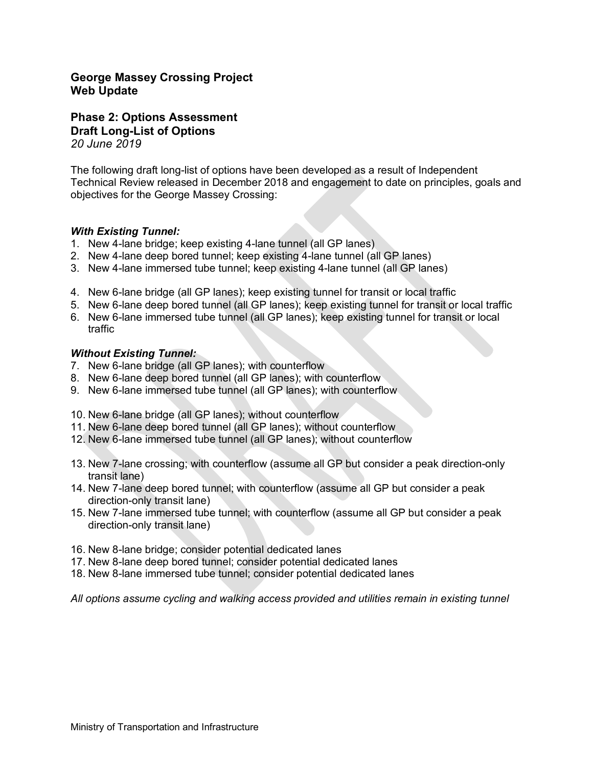## **George Massey Crossing Project Web Update**

**Phase 2: Options Assessment Draft Long-List of Options** *20 June 2019*

The following draft long-list of options have been developed as a result of Independent Technical Review released in December 2018 and engagement to date on principles, goals and objectives for the George Massey Crossing:

### *With Existing Tunnel:*

- 1. New 4-lane bridge; keep existing 4-lane tunnel (all GP lanes)
- 2. New 4-lane deep bored tunnel; keep existing 4-lane tunnel (all GP lanes)
- 3. New 4-lane immersed tube tunnel; keep existing 4-lane tunnel (all GP lanes)
- 4. New 6-lane bridge (all GP lanes); keep existing tunnel for transit or local traffic
- 5. New 6-lane deep bored tunnel (all GP lanes); keep existing tunnel for transit or local traffic
- 6. New 6-lane immersed tube tunnel (all GP lanes); keep existing tunnel for transit or local traffic

#### *Without Existing Tunnel:*

- 7. New 6-lane bridge (all GP lanes); with counterflow
- 8. New 6-lane deep bored tunnel (all GP lanes); with counterflow
- 9. New 6-lane immersed tube tunnel (all GP lanes); with counterflow
- 10. New 6-lane bridge (all GP lanes); without counterflow
- 11. New 6-lane deep bored tunnel (all GP lanes); without counterflow
- 12. New 6-lane immersed tube tunnel (all GP lanes); without counterflow
- 13. New 7-lane crossing; with counterflow (assume all GP but consider a peak direction-only transit lane)
- 14. New 7-lane deep bored tunnel; with counterflow (assume all GP but consider a peak direction-only transit lane)
- 15. New 7-lane immersed tube tunnel; with counterflow (assume all GP but consider a peak direction-only transit lane)
- 16. New 8-lane bridge; consider potential dedicated lanes
- 17. New 8-lane deep bored tunnel; consider potential dedicated lanes
- 18. New 8-lane immersed tube tunnel; consider potential dedicated lanes

*All options assume cycling and walking access provided and utilities remain in existing tunnel*